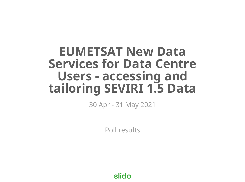# **EUMETSAT New Data Services for Data Centre Users - accessing and tailoring SEVIRI 1.5 Data**

30 Apr - 31 May 2021

Poll results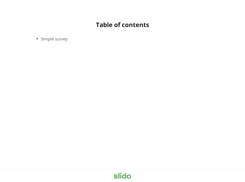#### **Table of contents**

• Simple survey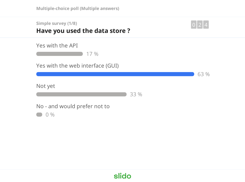**Multiple-choice poll (Multiple answers)**

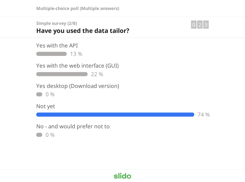| <b>Simple survey (2/8)</b>     |  |
|--------------------------------|--|
| Have you used the data tailor? |  |



74 %



0 %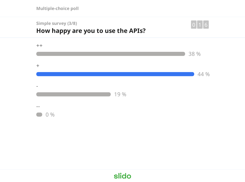**Multiple-choice poll**

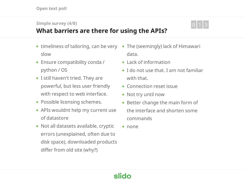#### **Simple survey (4/8)**



#### **What barriers are there for using the APIs?**

- timeliness of tailoring, can be very slow
- Ensure compatibility conda / python / OS
- I still haven't tried. They are powerful, but less user friendly with respect to web interface.
- Possible licensing schemes.
- APIs wouldnt help my current use of datastore
- Not all datasets available, cryptic errors (unexplained, often due to disk space), downloaded products differ from old site (why?)
- The (seemingly) lack of Himawari data.
- Lack of information
- I do not use that. I am not familiar with that.
- Connection reset issue
- Not try until now
- Better change the main form of the interface and shorten some commands
- none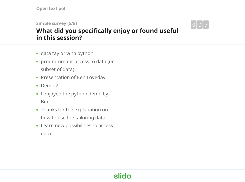**Open text poll**

**Simple survey (5/8)**

**What did you specifically enjoy or found useful in this session?**



- programmatic access to data (or subset of data)
- Presentation of Ben Loveday
- Demos!
- I enjoyed the python demo by Ben.
- Thanks for the explanation on how to use the tailoring data.
- Learn new possibilities to access data

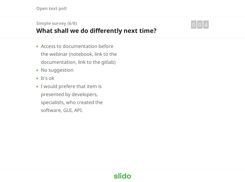**Open text poll**

#### **Simple survey (6/8)**

#### **What shall we do differently next time?**

0 0 4

- Access to documentation before the webinar (notebook, link to the documentation, link to the gitlab)
- No suggestion
- It's ok
- I would prefere that item is presented by developers, specialists, who created the software, GUI, API.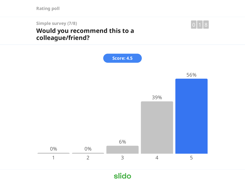**Rating poll**

**Simple survey (7/8) Would you recommend this to a colleague/friend?**



 $\boxed{0}$  1  $\boxed{8}$